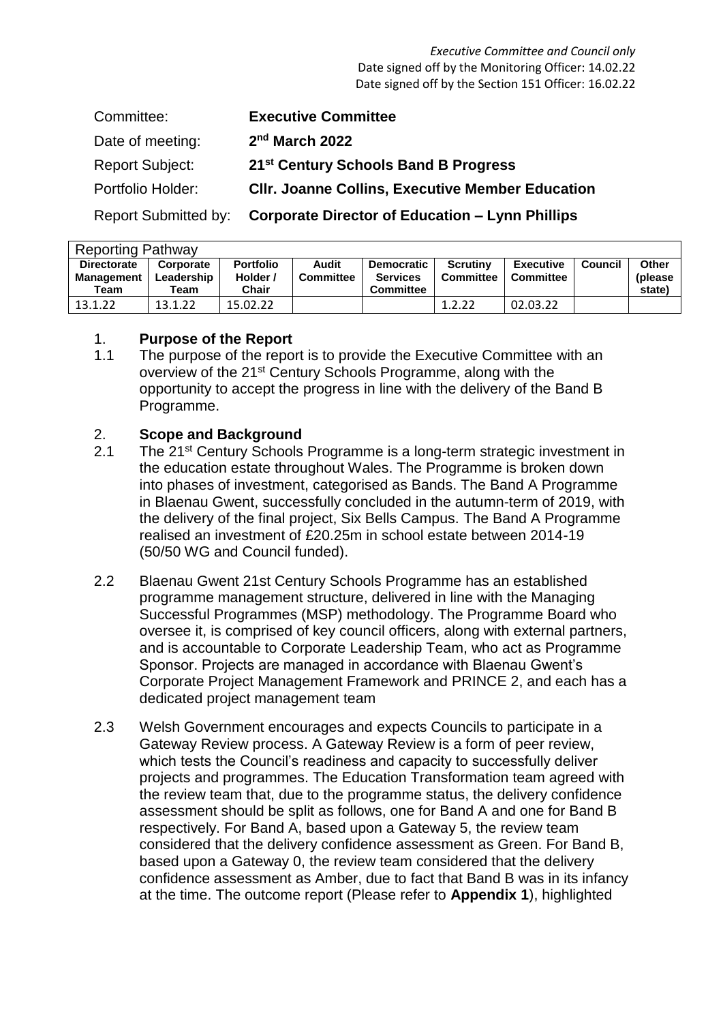*Executive Committee and Council only* Date signed off by the Monitoring Officer: 14.02.22 Date signed off by the Section 151 Officer: 16.02.22

| Committee:             | <b>Executive Committee</b>                              |
|------------------------|---------------------------------------------------------|
| Date of meeting:       | 2 <sup>nd</sup> March 2022                              |
| <b>Report Subject:</b> | 21 <sup>st</sup> Century Schools Band B Progress        |
| Portfolio Holder:      | <b>CIIr. Joanne Collins, Executive Member Education</b> |
| Report Submitted by:   | <b>Corporate Director of Education – Lynn Phillips</b>  |

| <b>Reporting Pathway</b> |            |                  |                  |                   |           |                  |         |          |  |  |
|--------------------------|------------|------------------|------------------|-------------------|-----------|------------------|---------|----------|--|--|
| <b>Directorate</b>       | Corporate  | <b>Portfolio</b> | Audit            | <b>Democratic</b> | Scrutiny  | <b>Executive</b> | Council | Other    |  |  |
| <b>Management</b>        | Leadership | Holder /         | <b>Committee</b> | <b>Services</b>   | Committee | l Committee      |         | (please) |  |  |
| Team                     | Team       | Chair            |                  | <b>Committee</b>  |           |                  |         | state)   |  |  |
| 13.1.22                  | 13.1.22    | 15.02.22         |                  |                   | 1.2.22    | 02.03.22         |         |          |  |  |

#### 1. **Purpose of the Report**

1.1 The purpose of the report is to provide the Executive Committee with an overview of the 21<sup>st</sup> Century Schools Programme, along with the opportunity to accept the progress in line with the delivery of the Band B Programme.

#### 2. **Scope and Background**

- 2.1 The 21<sup>st</sup> Century Schools Programme is a long-term strategic investment in the education estate throughout Wales. The Programme is broken down into phases of investment, categorised as Bands. The Band A Programme in Blaenau Gwent, successfully concluded in the autumn-term of 2019, with the delivery of the final project, Six Bells Campus. The Band A Programme realised an investment of £20.25m in school estate between 2014-19 (50/50 WG and Council funded).
- 2.2 Blaenau Gwent 21st Century Schools Programme has an established programme management structure, delivered in line with the Managing Successful Programmes (MSP) methodology. The Programme Board who oversee it, is comprised of key council officers, along with external partners, and is accountable to Corporate Leadership Team, who act as Programme Sponsor. Projects are managed in accordance with Blaenau Gwent's Corporate Project Management Framework and PRINCE 2, and each has a dedicated project management team
- 2.3 Welsh Government encourages and expects Councils to participate in a Gateway Review process. A Gateway Review is a form of peer review, which tests the Council's readiness and capacity to successfully deliver projects and programmes. The Education Transformation team agreed with the review team that, due to the programme status, the delivery confidence assessment should be split as follows, one for Band A and one for Band B respectively. For Band A, based upon a Gateway 5, the review team considered that the delivery confidence assessment as Green. For Band B, based upon a Gateway 0, the review team considered that the delivery confidence assessment as Amber, due to fact that Band B was in its infancy at the time. The outcome report (Please refer to **Appendix 1**), highlighted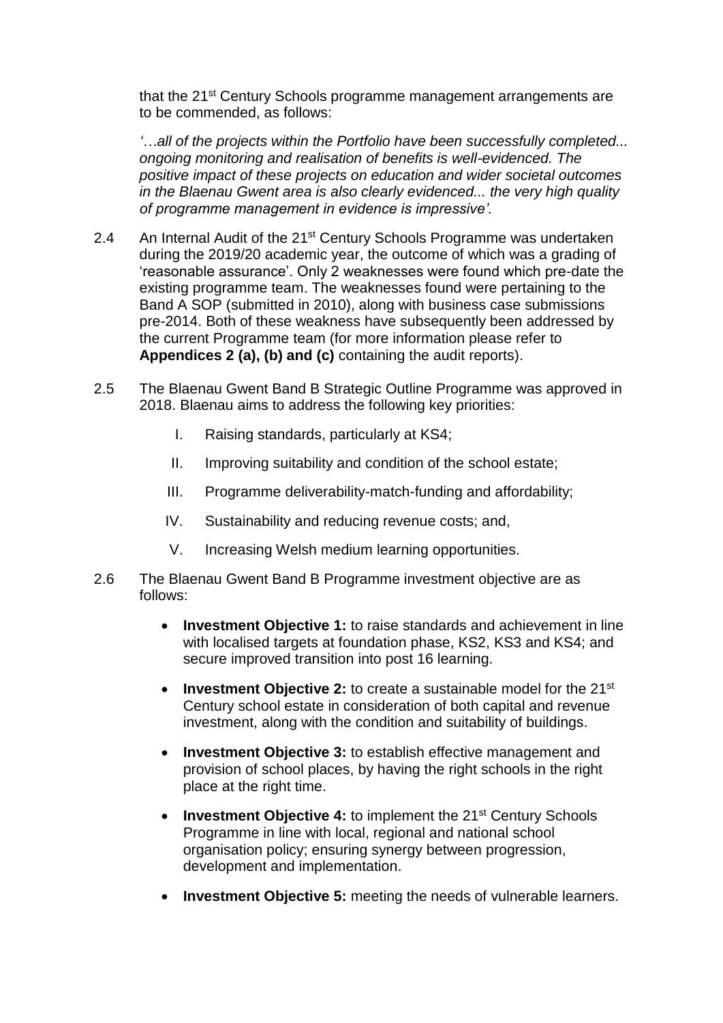that the 21<sup>st</sup> Century Schools programme management arrangements are to be commended, as follows:

*'…all of the projects within the Portfolio have been successfully completed... ongoing monitoring and realisation of benefits is well-evidenced. The positive impact of these projects on education and wider societal outcomes in the Blaenau Gwent area is also clearly evidenced... the very high quality of programme management in evidence is impressive'.*

- 2.4 An Internal Audit of the 21<sup>st</sup> Century Schools Programme was undertaken during the 2019/20 academic year, the outcome of which was a grading of 'reasonable assurance'. Only 2 weaknesses were found which pre-date the existing programme team. The weaknesses found were pertaining to the Band A SOP (submitted in 2010), along with business case submissions pre-2014. Both of these weakness have subsequently been addressed by the current Programme team (for more information please refer to **Appendices 2 (a), (b) and (c)** containing the audit reports).
- 2.5 The Blaenau Gwent Band B Strategic Outline Programme was approved in 2018. Blaenau aims to address the following key priorities:
	- I. Raising standards, particularly at KS4;
	- II. Improving suitability and condition of the school estate;
	- III. Programme deliverability-match-funding and affordability;
	- IV. Sustainability and reducing revenue costs; and,
	- V. Increasing Welsh medium learning opportunities.
- 2.6 The Blaenau Gwent Band B Programme investment objective are as follows:
	- **Investment Objective 1:** to raise standards and achievement in line with localised targets at foundation phase, KS2, KS3 and KS4; and secure improved transition into post 16 learning.
	- Investment Objective 2: to create a sustainable model for the 21<sup>st</sup> Century school estate in consideration of both capital and revenue investment, along with the condition and suitability of buildings.
	- **Investment Objective 3:** to establish effective management and provision of school places, by having the right schools in the right place at the right time.
	- **Investment Objective 4: to implement the 21<sup>st</sup> Century Schools** Programme in line with local, regional and national school organisation policy; ensuring synergy between progression, development and implementation.
	- **Investment Objective 5:** meeting the needs of vulnerable learners.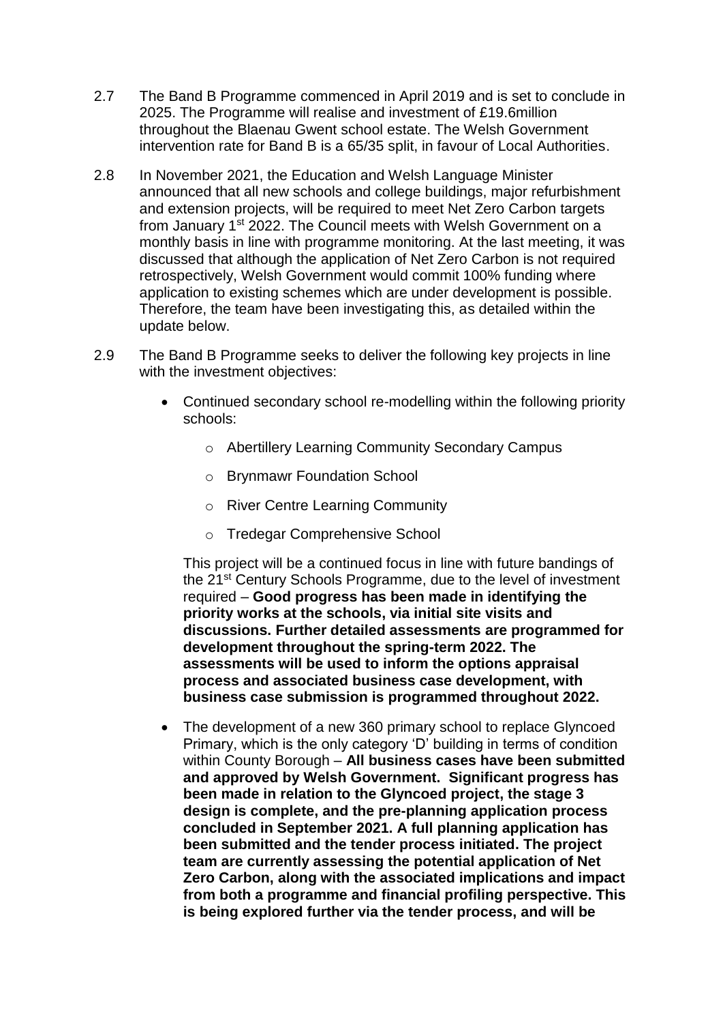- 2.7 The Band B Programme commenced in April 2019 and is set to conclude in 2025. The Programme will realise and investment of £19.6million throughout the Blaenau Gwent school estate. The Welsh Government intervention rate for Band B is a 65/35 split, in favour of Local Authorities.
- 2.8 In November 2021, the Education and Welsh Language Minister announced that all new schools and college buildings, major refurbishment and extension projects, will be required to meet Net Zero Carbon targets from January 1<sup>st</sup> 2022. The Council meets with Welsh Government on a monthly basis in line with programme monitoring. At the last meeting, it was discussed that although the application of Net Zero Carbon is not required retrospectively, Welsh Government would commit 100% funding where application to existing schemes which are under development is possible. Therefore, the team have been investigating this, as detailed within the update below.
- 2.9 The Band B Programme seeks to deliver the following key projects in line with the investment objectives:
	- Continued secondary school re-modelling within the following priority schools:
		- o Abertillery Learning Community Secondary Campus
		- o Brynmawr Foundation School
		- o River Centre Learning Community
		- o Tredegar Comprehensive School

This project will be a continued focus in line with future bandings of the 21st Century Schools Programme, due to the level of investment required – **Good progress has been made in identifying the priority works at the schools, via initial site visits and discussions. Further detailed assessments are programmed for development throughout the spring-term 2022. The assessments will be used to inform the options appraisal process and associated business case development, with business case submission is programmed throughout 2022.**

• The development of a new 360 primary school to replace Glyncoed Primary, which is the only category 'D' building in terms of condition within County Borough – **All business cases have been submitted and approved by Welsh Government. Significant progress has been made in relation to the Glyncoed project, the stage 3 design is complete, and the pre-planning application process concluded in September 2021. A full planning application has been submitted and the tender process initiated. The project team are currently assessing the potential application of Net Zero Carbon, along with the associated implications and impact from both a programme and financial profiling perspective. This is being explored further via the tender process, and will be**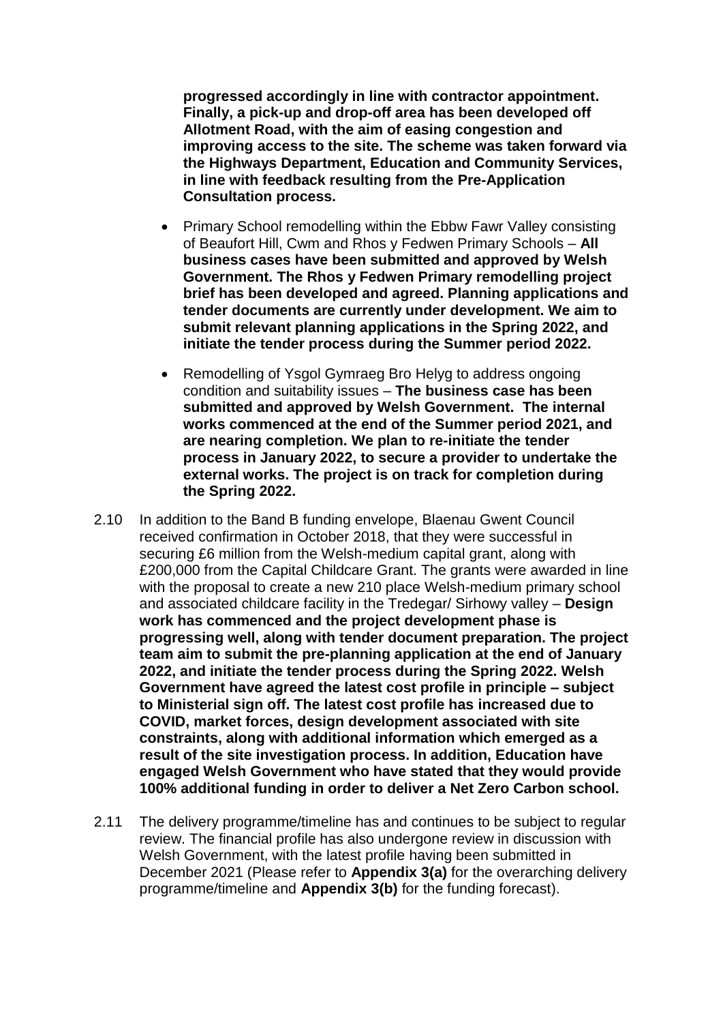**progressed accordingly in line with contractor appointment. Finally, a pick-up and drop-off area has been developed off Allotment Road, with the aim of easing congestion and improving access to the site. The scheme was taken forward via the Highways Department, Education and Community Services, in line with feedback resulting from the Pre-Application Consultation process.**

- Primary School remodelling within the Ebbw Fawr Valley consisting of Beaufort Hill, Cwm and Rhos y Fedwen Primary Schools – **All business cases have been submitted and approved by Welsh Government. The Rhos y Fedwen Primary remodelling project brief has been developed and agreed. Planning applications and tender documents are currently under development. We aim to submit relevant planning applications in the Spring 2022, and initiate the tender process during the Summer period 2022.**
- Remodelling of Ysgol Gymraeg Bro Helyg to address ongoing condition and suitability issues – **The business case has been submitted and approved by Welsh Government. The internal works commenced at the end of the Summer period 2021, and are nearing completion. We plan to re-initiate the tender process in January 2022, to secure a provider to undertake the external works. The project is on track for completion during the Spring 2022.**
- 2.10 In addition to the Band B funding envelope, Blaenau Gwent Council received confirmation in October 2018, that they were successful in securing £6 million from the Welsh-medium capital grant, along with £200,000 from the Capital Childcare Grant. The grants were awarded in line with the proposal to create a new 210 place Welsh-medium primary school and associated childcare facility in the Tredegar/ Sirhowy valley – **Design work has commenced and the project development phase is progressing well, along with tender document preparation. The project team aim to submit the pre-planning application at the end of January 2022, and initiate the tender process during the Spring 2022. Welsh Government have agreed the latest cost profile in principle – subject to Ministerial sign off. The latest cost profile has increased due to COVID, market forces, design development associated with site constraints, along with additional information which emerged as a result of the site investigation process. In addition, Education have engaged Welsh Government who have stated that they would provide 100% additional funding in order to deliver a Net Zero Carbon school.**
- 2.11 The delivery programme/timeline has and continues to be subject to regular review. The financial profile has also undergone review in discussion with Welsh Government, with the latest profile having been submitted in December 2021 (Please refer to **Appendix 3(a)** for the overarching delivery programme/timeline and **Appendix 3(b)** for the funding forecast).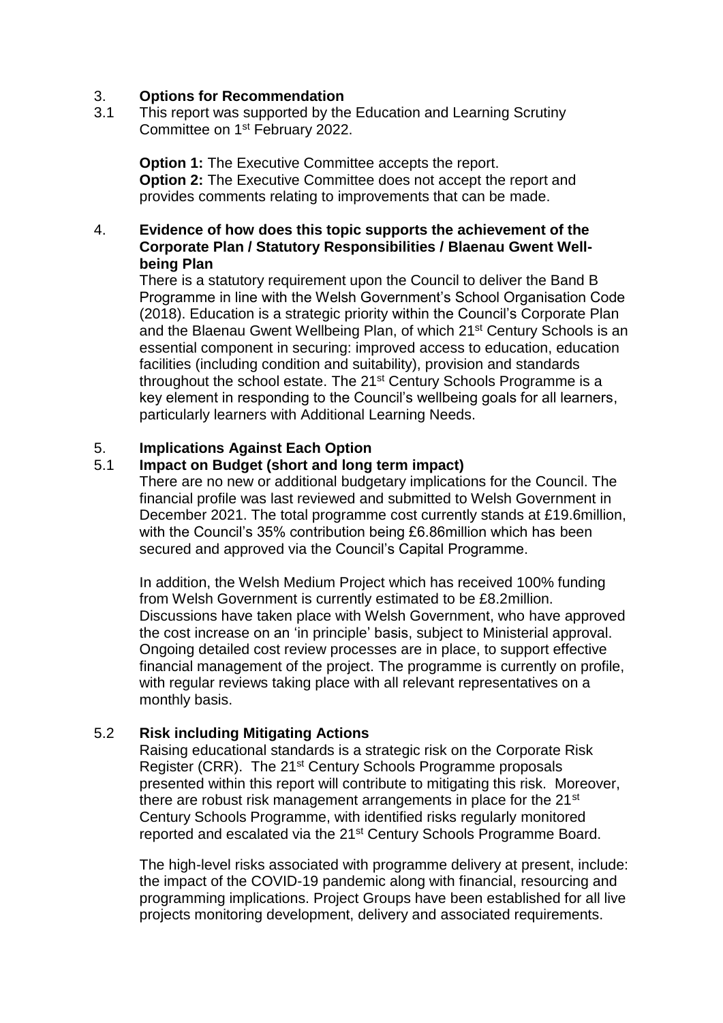## 3. **Options for Recommendation**

3.1 This report was supported by the Education and Learning Scrutiny Committee on 1st February 2022.

**Option 1:** The Executive Committee accepts the report. **Option 2:** The Executive Committee does not accept the report and provides comments relating to improvements that can be made.

## 4. **Evidence of how does this topic supports the achievement of the Corporate Plan / Statutory Responsibilities / Blaenau Gwent Wellbeing Plan**

There is a statutory requirement upon the Council to deliver the Band B Programme in line with the Welsh Government's School Organisation Code (2018). Education is a strategic priority within the Council's Corporate Plan and the Blaenau Gwent Wellbeing Plan, of which 21st Century Schools is an essential component in securing: improved access to education, education facilities (including condition and suitability), provision and standards throughout the school estate. The 21<sup>st</sup> Century Schools Programme is a key element in responding to the Council's wellbeing goals for all learners, particularly learners with Additional Learning Needs.

## 5. **Implications Against Each Option**

## 5.1 **Impact on Budget (short and long term impact)**

There are no new or additional budgetary implications for the Council. The financial profile was last reviewed and submitted to Welsh Government in December 2021. The total programme cost currently stands at £19.6million, with the Council's 35% contribution being £6.86million which has been secured and approved via the Council's Capital Programme.

In addition, the Welsh Medium Project which has received 100% funding from Welsh Government is currently estimated to be £8.2million. Discussions have taken place with Welsh Government, who have approved the cost increase on an 'in principle' basis, subject to Ministerial approval. Ongoing detailed cost review processes are in place, to support effective financial management of the project. The programme is currently on profile, with regular reviews taking place with all relevant representatives on a monthly basis.

## 5.2 **Risk including Mitigating Actions**

Raising educational standards is a strategic risk on the Corporate Risk Register (CRR). The 21st Century Schools Programme proposals presented within this report will contribute to mitigating this risk. Moreover, there are robust risk management arrangements in place for the 21<sup>st</sup> Century Schools Programme, with identified risks regularly monitored reported and escalated via the 21<sup>st</sup> Century Schools Programme Board.

The high-level risks associated with programme delivery at present, include: the impact of the COVID-19 pandemic along with financial, resourcing and programming implications. Project Groups have been established for all live projects monitoring development, delivery and associated requirements.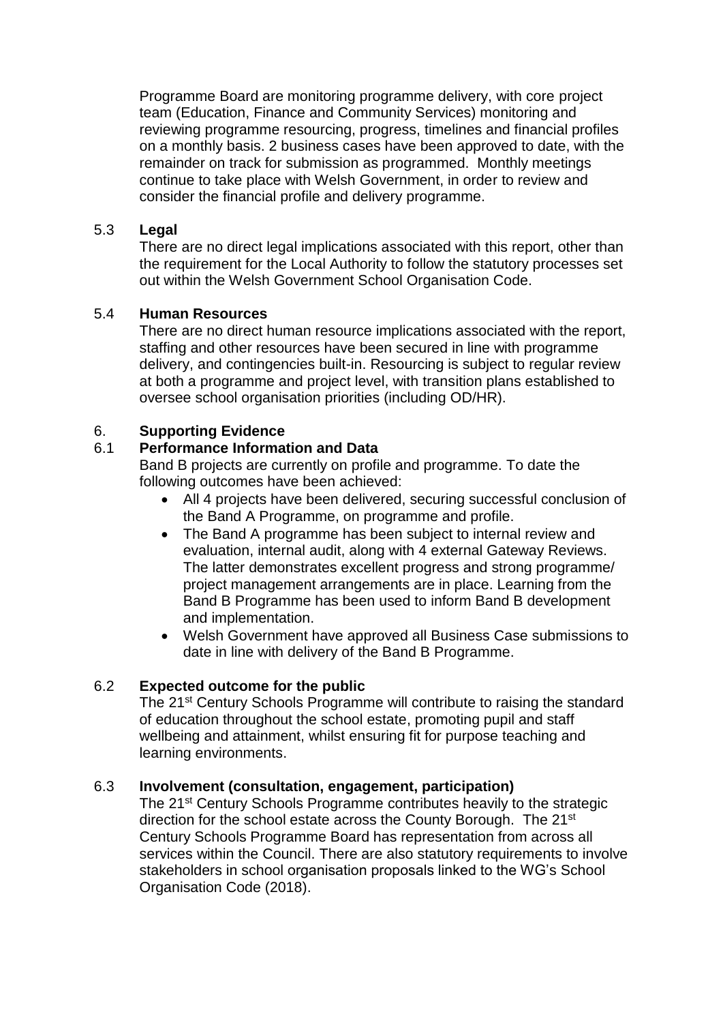Programme Board are monitoring programme delivery, with core project team (Education, Finance and Community Services) monitoring and reviewing programme resourcing, progress, timelines and financial profiles on a monthly basis. 2 business cases have been approved to date, with the remainder on track for submission as programmed. Monthly meetings continue to take place with Welsh Government, in order to review and consider the financial profile and delivery programme.

## 5.3 **Legal**

There are no direct legal implications associated with this report, other than the requirement for the Local Authority to follow the statutory processes set out within the Welsh Government School Organisation Code.

# 5.4 **Human Resources**

There are no direct human resource implications associated with the report, staffing and other resources have been secured in line with programme delivery, and contingencies built-in. Resourcing is subject to regular review at both a programme and project level, with transition plans established to oversee school organisation priorities (including OD/HR).

# 6. **Supporting Evidence**

## 6.1 **Performance Information and Data**

Band B projects are currently on profile and programme. To date the following outcomes have been achieved:

- All 4 projects have been delivered, securing successful conclusion of the Band A Programme, on programme and profile.
- The Band A programme has been subject to internal review and evaluation, internal audit, along with 4 external Gateway Reviews. The latter demonstrates excellent progress and strong programme/ project management arrangements are in place. Learning from the Band B Programme has been used to inform Band B development and implementation.
- Welsh Government have approved all Business Case submissions to date in line with delivery of the Band B Programme.

## 6.2 **Expected outcome for the public**

The 21<sup>st</sup> Century Schools Programme will contribute to raising the standard of education throughout the school estate, promoting pupil and staff wellbeing and attainment, whilst ensuring fit for purpose teaching and learning environments.

# 6.3 **Involvement (consultation, engagement, participation)**

The 21<sup>st</sup> Century Schools Programme contributes heavily to the strategic direction for the school estate across the County Borough. The 21<sup>st</sup> Century Schools Programme Board has representation from across all services within the Council. There are also statutory requirements to involve stakeholders in school organisation proposals linked to the WG's School Organisation Code (2018).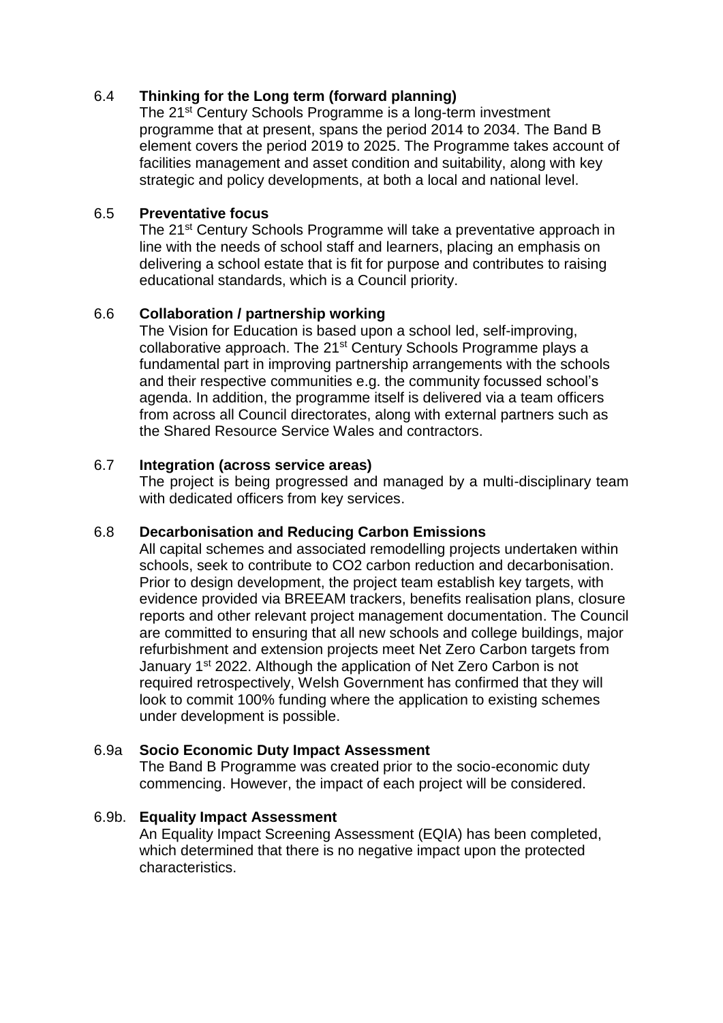# 6.4 **Thinking for the Long term (forward planning)**

The 21<sup>st</sup> Century Schools Programme is a long-term investment programme that at present, spans the period 2014 to 2034. The Band B element covers the period 2019 to 2025. The Programme takes account of facilities management and asset condition and suitability, along with key strategic and policy developments, at both a local and national level.

#### 6.5 **Preventative focus**

The 21<sup>st</sup> Century Schools Programme will take a preventative approach in line with the needs of school staff and learners, placing an emphasis on delivering a school estate that is fit for purpose and contributes to raising educational standards, which is a Council priority.

## 6.6 **Collaboration / partnership working**

The Vision for Education is based upon a school led, self-improving, collaborative approach. The 21<sup>st</sup> Century Schools Programme plays a fundamental part in improving partnership arrangements with the schools and their respective communities e.g. the community focussed school's agenda. In addition, the programme itself is delivered via a team officers from across all Council directorates, along with external partners such as the Shared Resource Service Wales and contractors.

## 6.7 **Integration (across service areas)**

The project is being progressed and managed by a multi-disciplinary team with dedicated officers from key services.

## 6.8 **Decarbonisation and Reducing Carbon Emissions**

All capital schemes and associated remodelling projects undertaken within schools, seek to contribute to CO2 carbon reduction and decarbonisation. Prior to design development, the project team establish key targets, with evidence provided via BREEAM trackers, benefits realisation plans, closure reports and other relevant project management documentation. The Council are committed to ensuring that all new schools and college buildings, major refurbishment and extension projects meet Net Zero Carbon targets from January 1<sup>st</sup> 2022. Although the application of Net Zero Carbon is not required retrospectively, Welsh Government has confirmed that they will look to commit 100% funding where the application to existing schemes under development is possible.

## 6.9a **Socio Economic Duty Impact Assessment**

The Band B Programme was created prior to the socio-economic duty commencing. However, the impact of each project will be considered.

## 6.9b. **Equality Impact Assessment**

An Equality Impact Screening Assessment (EQIA) has been completed, which determined that there is no negative impact upon the protected characteristics.